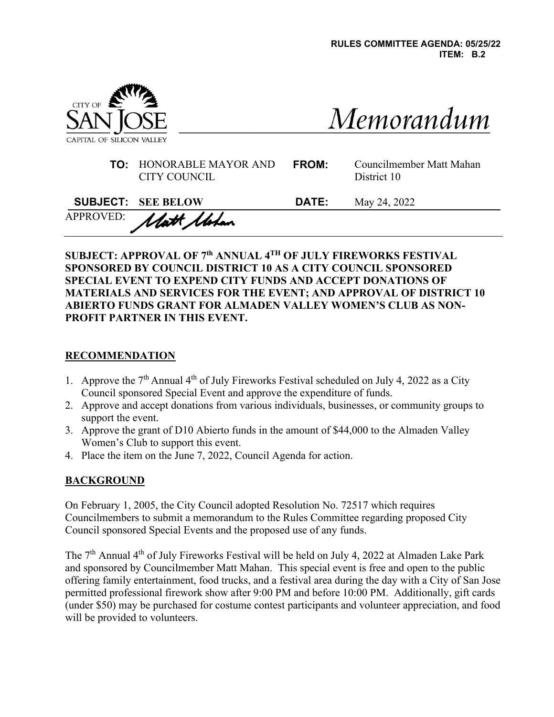

| Memorandum |  |
|------------|--|
|            |  |

|           | <b>TO:</b> HONORABLE MAYOR AND<br>CITY COUNCIL | <b>FROM:</b> | Councilmember Matt Mahan<br>District 10 |
|-----------|------------------------------------------------|--------------|-----------------------------------------|
|           | <b>SUBJECT: SEE BELOW</b>                      | <b>DATE:</b> | May 24, 2022                            |
| APPROVED: | Matt Mohan                                     |              |                                         |

**SUBJECT: APPROVAL OF 7th ANNUAL 4TH OF JULY FIREWORKS FESTIVAL SPONSORED BY COUNCIL DISTRICT 10 AS A CITY COUNCIL SPONSORED SPECIAL EVENT TO EXPEND CITY FUNDS AND ACCEPT DONATIONS OF MATERIALS AND SERVICES FOR THE EVENT; AND APPROVAL OF DISTRICT 10 ABIERTO FUNDS GRANT FOR ALMADEN VALLEY WOMEN'S CLUB AS NON-PROFIT PARTNER IN THIS EVENT.**

#### **RECOMMENDATION**

- 1. Approve the  $7<sup>th</sup>$  Annual 4<sup>th</sup> of July Fireworks Festival scheduled on July 4, 2022 as a City Council sponsored Special Event and approve the expenditure of funds.
- 2. Approve and accept donations from various individuals, businesses, or community groups to support the event.
- 3. Approve the grant of D10 Abierto funds in the amount of \$44,000 to the Almaden Valley Women's Club to support this event.
- 4. Place the item on the June 7, 2022, Council Agenda for action.

#### **BACKGROUND**

On February 1, 2005, the City Council adopted Resolution No. 72517 which requires Councilmembers to submit a memorandum to the Rules Committee regarding proposed City Council sponsored Special Events and the proposed use of any funds.

The 7<sup>th</sup> Annual 4<sup>th</sup> of July Fireworks Festival will be held on July 4, 2022 at Almaden Lake Park and sponsored by Councilmember Matt Mahan. This special event is free and open to the public offering family entertainment, food trucks, and a festival area during the day with a City of San Jose permitted professional firework show after 9:00 PM and before 10:00 PM. Additionally, gift cards (under \$50) may be purchased for costume contest participants and volunteer appreciation, and food will be provided to volunteers.